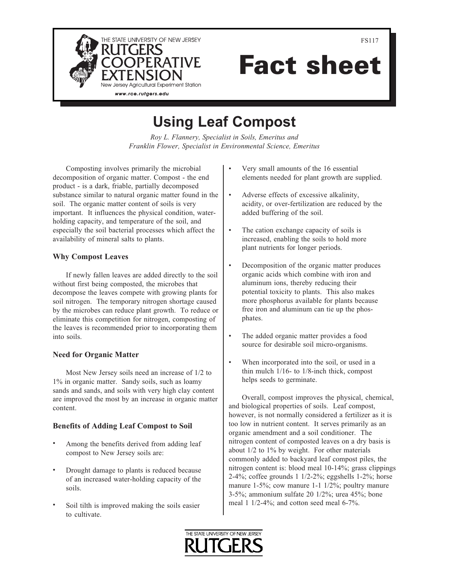

Fact sheet

# Using Leaf Compost

Roy L. Flannery, Specialist in Soils, Emeritus and Franklin Flower, Specialist in Environmental Science, Emeritus

Composting involves primarily the microbial decomposition of organic matter. Compost - the end product - is a dark, friable, partially decomposed substance similar to natural organic matter found in the soil. The organic matter content of soils is very important. It influences the physical condition, waterholding capacity, and temperature of the soil, and especially the soil bacterial processes which affect the availability of mineral salts to plants.

# Why Compost Leaves

If newly fallen leaves are added directly to the soil without first being composted, the microbes that decompose the leaves compete with growing plants for soil nitrogen. The temporary nitrogen shortage caused by the microbes can reduce plant growth. To reduce or eliminate this competition for nitrogen, composting of the leaves is recommended prior to incorporating them into soils.

## Need for Organic Matter

Most New Jersey soils need an increase of 1/2 to 1% in organic matter. Sandy soils, such as loamy sands and sands, and soils with very high clay content are improved the most by an increase in organic matter content.

# Benefits of Adding Leaf Compost to Soil

- Among the benefits derived from adding leaf compost to New Jersey soils are: •
- Drought damage to plants is reduced because of an increased water-holding capacity of the soils. •
- Soil tilth is improved making the soils easier to cultivate. •
- Very small amounts of the 16 essential elements needed for plant growth are supplied. •
- Adverse effects of excessive alkalinity, acidity, or over-fertilization are reduced by the added buffering of the soil. •
- The cation exchange capacity of soils is increased, enabling the soils to hold more plant nutrients for longer periods. •
- Decomposition of the organic matter produces organic acids which combine with iron and aluminum ions, thereby reducing their potential toxicity to plants. This also makes more phosphorus available for plants because free iron and aluminum can tie up the phosphates. •
- The added organic matter provides a food source for desirable soil micro-organisms. •
- When incorporated into the soil, or used in a thin mulch 1/16- to 1/8-inch thick, compost helps seeds to germinate. •

Overall, compost improves the physical, chemical, and biological properties of soils. Leaf compost, however, is not normally considered a fertilizer as it is too low in nutrient content. It serves primarily as an organic amendment and a soil conditioner. The nitrogen content of composted leaves on a dry basis is about 1/2 to 1% by weight. For other materials commonly added to backyard leaf compost piles, the nitrogen content is: blood meal 10-14%; grass clippings 2-4%; coffee grounds 1 1/2-2%; eggshells 1-2%; horse manure 1-5%; cow manure 1-1 1/2%; poultry manure 3-5%; ammonium sulfate 20 1/2%; urea 45%; bone meal 1 1/2-4%; and cotton seed meal 6-7%.